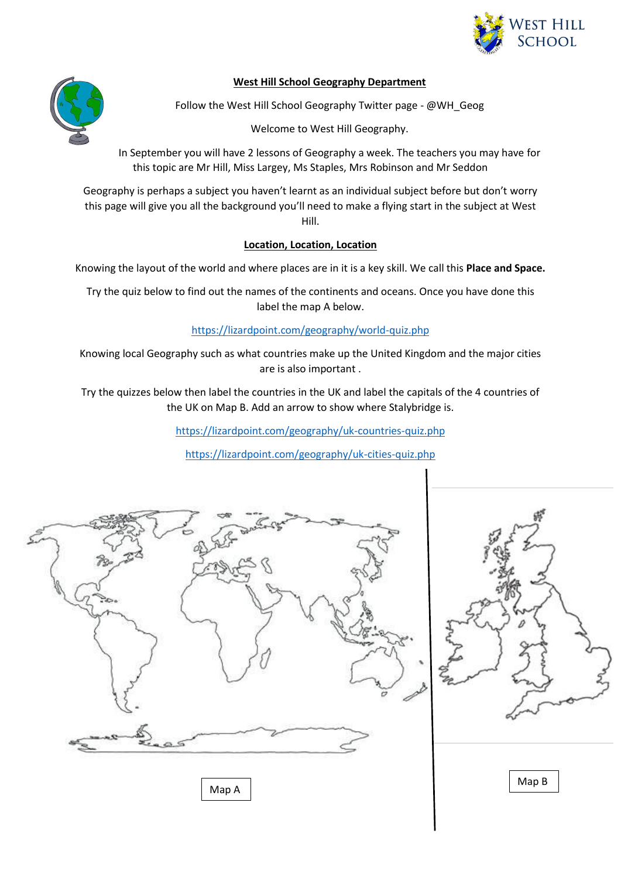

### **West Hill School Geography Department**



Follow the West Hill School Geography Twitter page - @WH\_Geog

Welcome to West Hill Geography.

In September you will have 2 lessons of Geography a week. The teachers you may have for this topic are Mr Hill, Miss Largey, Ms Staples, Mrs Robinson and Mr Seddon

Geography is perhaps a subject you haven't learnt as an individual subject before but don't worry this page will give you all the background you'll need to make a flying start in the subject at West Hill.

### **Location, Location, Location**

Knowing the layout of the world and where places are in it is a key skill. We call this **Place and Space.**

Try the quiz below to find out the names of the continents and oceans. Once you have done this label the map A below.

<https://lizardpoint.com/geography/world-quiz.php>

Knowing local Geography such as what countries make up the United Kingdom and the major cities are is also important .

Try the quizzes below then label the countries in the UK and label the capitals of the 4 countries of the UK on Map B. Add an arrow to show where Stalybridge is.

<https://lizardpoint.com/geography/uk-countries-quiz.php>

<https://lizardpoint.com/geography/uk-cities-quiz.php>